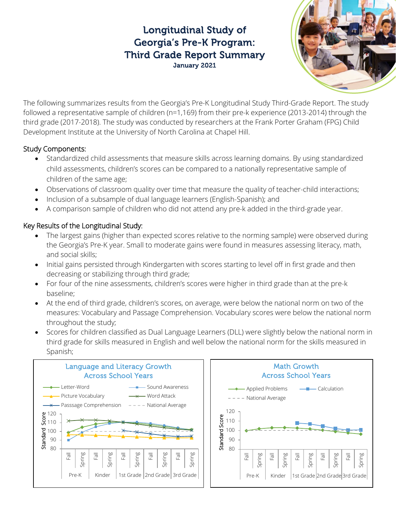# Longitudinal Study of Georgia's Pre-K Program: Third Grade Report Summary January 2021



The following summarizes results from the Georgia's Pre-K Longitudinal Study Third-Grade Report. The study followed a representative sample of children (n=1,169) from their pre-k experience (2013-2014) through the third grade (2017-2018). The study was conducted by researchers at the Frank Porter Graham (FPG) Child Development Institute at the University of North Carolina at Chapel Hill.

#### Study Components:

- Standardized child assessments that measure skills across learning domains. By using standardized child assessments, children's scores can be compared to a nationally representative sample of children of the same age;
- Observations of classroom quality over time that measure the quality of teacher-child interactions;
- Inclusion of a subsample of dual language learners (English-Spanish); and
- A comparison sample of children who did not attend any pre-k added in the third-grade year.

## Key Results of the Longitudinal Study:

- The largest gains (higher than expected scores relative to the norming sample) were observed during the Georgia's Pre-K year. Small to moderate gains were found in measures assessing literacy, math, and social skills;
- Initial gains persisted through Kindergarten with scores starting to level off in first grade and then decreasing or stabilizing through third grade;
- For four of the nine assessments, children's scores were higher in third grade than at the pre-k baseline;
- At the end of third grade, children's scores, on average, were below the national norm on two of the measures: Vocabulary and Passage Comprehension. Vocabulary scores were below the national norm throughout the study;
- Scores for children classified as Dual Language Learners (DLL) were slightly below the national norm in third grade for skills measured in English and well below the national norm for the skills measured in Spanish;